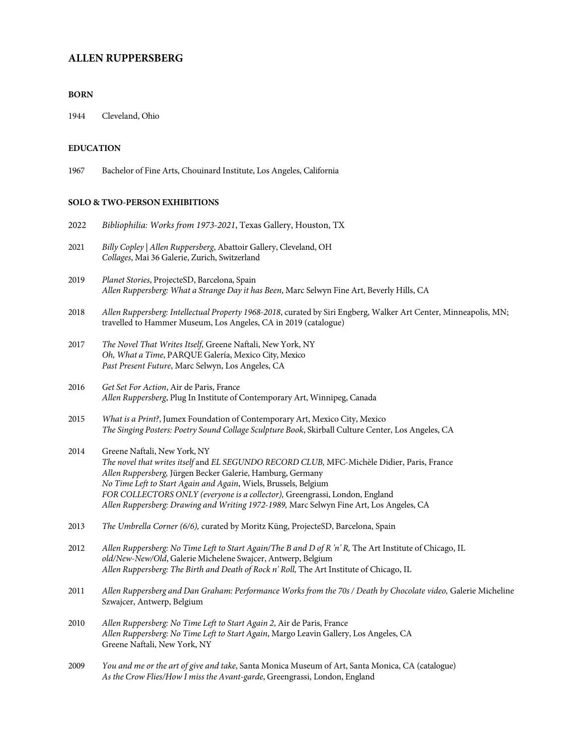# **ALLEN RUPPERSBERG**

# **BORN**

1944 Cleveland, Ohio

# **EDUCATION**

1967 Bachelor of Fine Arts, Chouinard Institute, Los Angeles, California

# **SOLO & TWO-PERSON EXHIBITIONS**

| 2022 | Bibliophilia: Works from 1973-2021, Texas Gallery, Houston, TX                                                                                                                                                                                                                                                                                                                                                                        |
|------|---------------------------------------------------------------------------------------------------------------------------------------------------------------------------------------------------------------------------------------------------------------------------------------------------------------------------------------------------------------------------------------------------------------------------------------|
| 2021 | Billy Copley   Allen Ruppersberg, Abattoir Gallery, Cleveland, OH<br>Collages, Mai 36 Galerie, Zurich, Switzerland                                                                                                                                                                                                                                                                                                                    |
| 2019 | Planet Stories, ProjecteSD, Barcelona, Spain<br>Allen Ruppersberg: What a Strange Day it has Been, Marc Selwyn Fine Art, Beverly Hills, CA                                                                                                                                                                                                                                                                                            |
| 2018 | Allen Ruppersberg: Intellectual Property 1968-2018, curated by Siri Engberg, Walker Art Center, Minneapolis, MN;<br>travelled to Hammer Museum, Los Angeles, CA in 2019 (catalogue)                                                                                                                                                                                                                                                   |
| 2017 | The Novel That Writes Itself, Greene Naftali, New York, NY<br>Oh, What a Time, PARQUE Galería, Mexico City, Mexico<br>Past Present Future, Marc Selwyn, Los Angeles, CA                                                                                                                                                                                                                                                               |
| 2016 | Get Set For Action, Air de Paris, France<br>Allen Ruppersberg, Plug In Institute of Contemporary Art, Winnipeg, Canada                                                                                                                                                                                                                                                                                                                |
| 2015 | What is a Print?, Jumex Foundation of Contemporary Art, Mexico City, Mexico<br>The Singing Posters: Poetry Sound Collage Sculpture Book, Skirball Culture Center, Los Angeles, CA                                                                                                                                                                                                                                                     |
| 2014 | Greene Naftali, New York, NY<br>The novel that writes itself and EL SEGUNDO RECORD CLUB, MFC-Michèle Didier, Paris, France<br>Allen Ruppersberg, Jürgen Becker Galerie, Hamburg, Germany<br>No Time Left to Start Again and Again, Wiels, Brussels, Belgium<br>FOR COLLECTORS ONLY (everyone is a collector), Greengrassi, London, England<br>Allen Ruppersberg: Drawing and Writing 1972-1989, Marc Selwyn Fine Art, Los Angeles, CA |
| 2013 | The Umbrella Corner (6/6), curated by Moritz Küng, ProjecteSD, Barcelona, Spain                                                                                                                                                                                                                                                                                                                                                       |
| 2012 | Allen Ruppersberg: No Time Left to Start Again/The B and D of R 'n' R, The Art Institute of Chicago, IL<br>old/New-New/Old, Galerie Michelene Swajcer, Antwerp, Belgium<br>Allen Ruppersberg: The Birth and Death of Rock n' Roll, The Art Institute of Chicago, IL                                                                                                                                                                   |
| 2011 | Allen Ruppersberg and Dan Graham: Performance Works from the 70s / Death by Chocolate video, Galerie Micheline<br>Szwajcer, Antwerp, Belgium                                                                                                                                                                                                                                                                                          |
| 2010 | Allen Ruppersberg: No Time Left to Start Again 2, Air de Paris, France<br>Allen Ruppersberg: No Time Left to Start Again, Margo Leavin Gallery, Los Angeles, CA<br>Greene Naftali, New York, NY                                                                                                                                                                                                                                       |
| 2009 | You and me or the art of give and take, Santa Monica Museum of Art, Santa Monica, CA (catalogue)<br>As the Crow Flies/How I miss the Avant-garde, Greengrassi, London, England                                                                                                                                                                                                                                                        |
|      |                                                                                                                                                                                                                                                                                                                                                                                                                                       |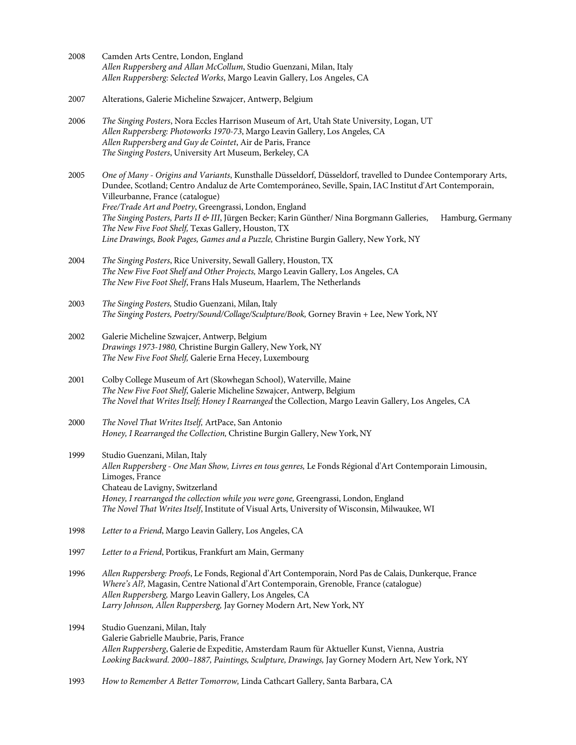- 2008 Camden Arts Centre, London, England *Allen Ruppersberg and Allan McCollum*, Studio Guenzani, Milan, Italy *Allen Ruppersberg: Selected Works*, Margo Leavin Gallery, Los Angeles, CA
- 2007 Alterations, Galerie Micheline Szwajcer, Antwerp, Belgium
- 2006 *The Singing Posters*, Nora Eccles Harrison Museum of Art, Utah State University, Logan, UT *Allen Ruppersberg: Photoworks 1970-73*, Margo Leavin Gallery, Los Angeles, CA *Allen Ruppersberg and Guy de Cointet*, Air de Paris, France *The Singing Posters*, University Art Museum, Berkeley, CA
- 2005 *One of Many - Origins and Variants*, Kunsthalle Düsseldorf, Düsseldorf, travelled to Dundee Contemporary Arts, Dundee, Scotland; Centro Andaluz de Arte Comtemporáneo, Seville, Spain, IAC Institut d'Art Contemporain, Villeurbanne, France (catalogue) *Free/Trade Art and Poetry*, Greengrassi, London, England *The Singing Posters, Parts II & III*, Jürgen Becker; Karin Günther/ Nina Borgmann Galleries, Hamburg, Germany *The New Five Foot Shelf,* Texas Gallery, Houston, TX *Line Drawings, Book Pages, Games and a Puzzle,* Christine Burgin Gallery, New York, NY
- 2004 *The Singing Posters*, Rice University, Sewall Gallery, Houston, TX *The New Five Foot Shelf and Other Projects,* Margo Leavin Gallery, Los Angeles, CA *The New Five Foot Shelf*, Frans Hals Museum, Haarlem, The Netherlands
- 2003 *The Singing Posters,* Studio Guenzani, Milan, Italy *The Singing Posters, Poetry/Sound/Collage/Sculpture/Book,* Gorney Bravin + Lee, New York, NY
- 2002 Galerie Micheline Szwajcer, Antwerp, Belgium *Drawings 1973-1980,* Christine Burgin Gallery, New York, NY *The New Five Foot Shelf,* Galerie Erna Hecey, Luxembourg
- 2001 Colby College Museum of Art (Skowhegan School), Waterville, Maine *The New Five Foot Shelf*, Galerie Micheline Szwajcer, Antwerp, Belgium *The Novel that Writes Itself; Honey I Rearranged* the Collection, Margo Leavin Gallery, Los Angeles, CA
- 2000 *The Novel That Writes Itself,* ArtPace, San Antonio *Honey, I Rearranged the Collection,* Christine Burgin Gallery, New York, NY
- 1999 Studio Guenzani, Milan, Italy *Allen Ruppersberg - One Man Show, Livres en tous genres,* Le Fonds Régional d'Art Contemporain Limousin, Limoges, France Chateau de Lavigny, Switzerland *Honey, I rearranged the collection while you were gone,* Greengrassi, London, England *The Novel That Writes Itself*, Institute of Visual Arts, University of Wisconsin, Milwaukee, WI
- 1998 *Letter to a Friend*, Margo Leavin Gallery, Los Angeles, CA
- 1997 *Letter to a Friend*, Portikus, Frankfurt am Main, Germany
- 1996 *Allen Ruppersberg: Proofs*, Le Fonds, Regional d'Art Contemporain, Nord Pas de Calais, Dunkerque, France *Where's Al?,* Magasin, Centre National d'Art Contemporain, Grenoble, France (catalogue) *Allen Ruppersberg,* Margo Leavin Gallery, Los Angeles, CA *Larry Johnson, Allen Ruppersberg,* Jay Gorney Modern Art, New York, NY
- 1994 Studio Guenzani, Milan, Italy Galerie Gabrielle Maubrie, Paris, France *Allen Ruppersberg*, Galerie de Expeditie, Amsterdam Raum für Aktueller Kunst, Vienna, Austria *Looking Backward. 2000–1887, Paintings, Sculpture, Drawings,* Jay Gorney Modern Art, New York, NY
- 1993 *How to Remember A Better Tomorrow,* Linda Cathcart Gallery, Santa Barbara, CA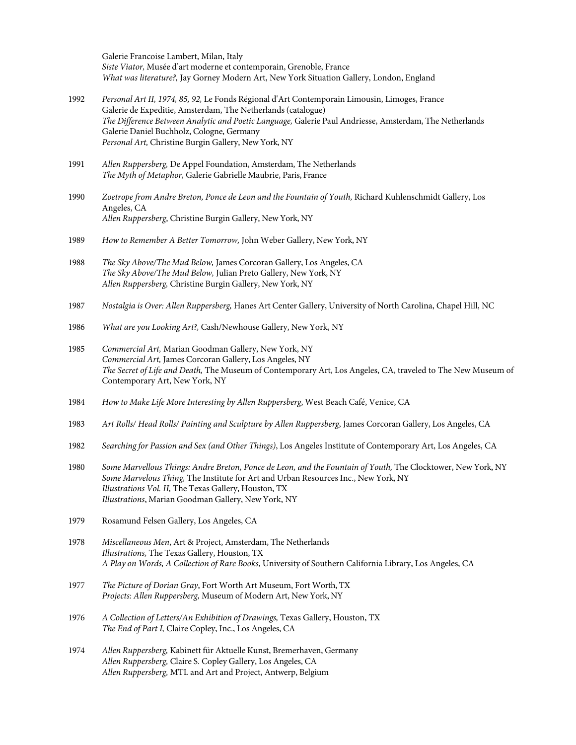Galerie Francoise Lambert, Milan, Italy *Siste Viator,* Musée d'art moderne et contemporain, Grenoble, France *What was literature?,* Jay Gorney Modern Art, New York Situation Gallery, London, England

- 1992 *Personal Art II, 1974, 85, 92,* Le Fonds Régional d'Art Contemporain Limousin, Limoges, France Galerie de Expeditie, Amsterdam, The Netherlands (catalogue) *The Difference Between Analytic and Poetic Language,* Galerie Paul Andriesse, Amsterdam, The Netherlands Galerie Daniel Buchholz, Cologne, Germany *Personal Art,* Christine Burgin Gallery, New York, NY
- 1991 *Allen Ruppersberg,* De Appel Foundation, Amsterdam, The Netherlands *The Myth of Metaphor,* Galerie Gabrielle Maubrie, Paris, France
- 1990 *Zoetrope from Andre Breton, Ponce de Leon and the Fountain of Youth,* Richard Kuhlenschmidt Gallery, Los Angeles, CA *Allen Ruppersberg*, Christine Burgin Gallery, New York, NY
- 1989 *How to Remember A Better Tomorrow,* John Weber Gallery, New York, NY
- 1988 *The Sky Above/The Mud Below,* James Corcoran Gallery, Los Angeles, CA *The Sky Above/The Mud Below,* Julian Preto Gallery, New York, NY *Allen Ruppersberg,* Christine Burgin Gallery, New York, NY
- 1987 *Nostalgia is Over: Allen Ruppersberg,* Hanes Art Center Gallery, University of North Carolina, Chapel Hill, NC
- 1986 *What are you Looking Art?,* Cash/Newhouse Gallery, New York, NY
- 1985 *Commercial Art,* Marian Goodman Gallery, New York, NY *Commercial Art,* James Corcoran Gallery, Los Angeles, NY *The Secret of Life and Death,* The Museum of Contemporary Art, Los Angeles, CA, traveled to The New Museum of Contemporary Art, New York, NY
- 1984 *How to Make Life More Interesting by Allen Ruppersberg*, West Beach Café, Venice, CA
- 1983 *Art Rolls/ Head Rolls/ Painting and Sculpture by Allen Ruppersberg*, James Corcoran Gallery, Los Angeles, CA
- 1982 *Searching for Passion and Sex (and Other Things)*, Los Angeles Institute of Contemporary Art, Los Angeles, CA
- 1980 *Some Marvellous Things: Andre Breton, Ponce de Leon, and the Fountain of Youth,* The Clocktower, New York, NY *Some Marvelous Thing,* The Institute for Art and Urban Resources Inc., New York, NY *Illustrations Vol. II,* The Texas Gallery, Houston, TX *Illustrations*, Marian Goodman Gallery, New York, NY
- 1979 Rosamund Felsen Gallery, Los Angeles, CA
- 1978 *Miscellaneous Men*, Art & Project, Amsterdam, The Netherlands *Illustrations,* The Texas Gallery, Houston, TX *A Play on Words, A Collection of Rare Books*, University of Southern California Library, Los Angeles, CA
- 1977 *The Picture of Dorian Gray*, Fort Worth Art Museum, Fort Worth, TX *Projects: Allen Ruppersberg,* Museum of Modern Art, New York, NY
- 1976 *A Collection of Letters/An Exhibition of Drawings,* Texas Gallery, Houston, TX *The End of Part I,* Claire Copley, Inc., Los Angeles, CA
- 1974 *Allen Ruppersberg,* Kabinett für Aktuelle Kunst, Bremerhaven, Germany *Allen Ruppersberg,* Claire S. Copley Gallery, Los Angeles, CA *Allen Ruppersberg,* MTL and Art and Project, Antwerp, Belgium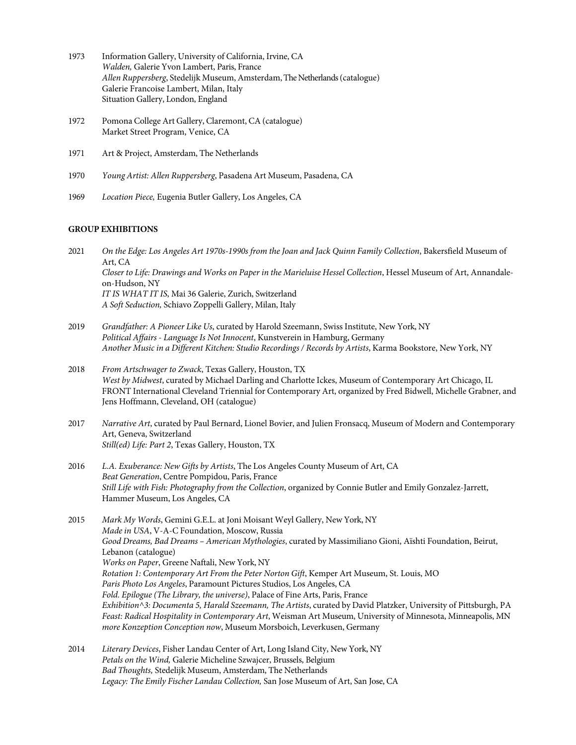- 1973 Information Gallery, University of California, Irvine, CA *Walden,* Galerie Yvon Lambert, Paris, France *Allen Ruppersberg*, Stedelijk Museum, Amsterdam, The Netherlands (catalogue) Galerie Francoise Lambert, Milan, Italy Situation Gallery, London, England
- 1972 Pomona College Art Gallery, Claremont, CA (catalogue) Market Street Program, Venice, CA
- 1971 Art & Project, Amsterdam, The Netherlands
- 1970 *Young Artist: Allen Ruppersberg*, Pasadena Art Museum, Pasadena, CA
- 1969 *Location Piece,* Eugenia Butler Gallery, Los Angeles, CA

### **GROUP EXHIBITIONS**

2021 *On the Edge: Los Angeles Art 1970s-1990s from the Joan and Jack Quinn Family Collection*, Bakersfield Museum of Art, CA *Closer to Life: Drawings and Works on Paper in the Marieluise Hessel Collection*, Hessel Museum of Art, Annandaleon-Hudson, NY *IT IS WHAT IT IS*, Mai 36 Galerie, Zurich, Switzerland *A Soft Seduction,* Schiavo Zoppelli Gallery, Milan, Italy

- 2019 *Grandfather: A Pioneer Like Us*, curated by Harold Szeemann, Swiss Institute, New York, NY *Political Affairs - Language Is Not Innocent*, Kunstverein in Hamburg, Germany *Another Music in a Different Kitchen: Studio Recordings / Records by Artists*, Karma Bookstore, New York, NY
- 2018 *From Artschwager to Zwack*, Texas Gallery, Houston, TX *West by Midwest*, curated by Michael Darling and Charlotte Ickes, Museum of Contemporary Art Chicago, IL FRONT International Cleveland Triennial for Contemporary Art, organized by Fred Bidwell, Michelle Grabner, and Jens Hoffmann, Cleveland, OH (catalogue)
- 2017 *Narrative Art*, curated by Paul Bernard, Lionel Bovier, and Julien Fronsacq, Museum of Modern and Contemporary Art, Geneva, Switzerland *Still(ed) Life: Part 2*, Texas Gallery, Houston, TX
- 2016 *L.A. Exuberance: New Gifts by Artists*, The Los Angeles County Museum of Art, CA *Beat Generation*, Centre Pompidou, Paris, France *Still Life with Fish: Photography from the Collection*, organized by Connie Butler and Emily Gonzalez-Jarrett, Hammer Museum, Los Angeles, CA
- 2015 *Mark My Words*, Gemini G.E.L. at Joni Moisant Weyl Gallery, New York, NY *Made in USA*, V-A-C Foundation, Moscow, Russia *Good Dreams, Bad Dreams – American Mythologies*, curated by Massimiliano Gioni, Aïshti Foundation, Beirut, Lebanon (catalogue) *Works on Paper*, Greene Naftali, New York, NY *Rotation 1: Contemporary Art From the Peter Norton Gift*, Kemper Art Museum, St. Louis, MO *Paris Photo Los Angeles*, Paramount Pictures Studios, Los Angeles, CA *Fold. Epilogue (The Library, the universe)*, Palace of Fine Arts, Paris, France *Exhibition^3: Documenta 5, Harald Szeemann, The Artists*, curated by David Platzker, University of Pittsburgh, PA *Feast: Radical Hospitality in Contemporary Art*, Weisman Art Museum, University of Minnesota, Minneapolis, MN *more Konzeption Conception now*, Museum Morsboich, Leverkusen, Germany
- 2014 *Literary Devices*, Fisher Landau Center of Art, Long Island City, New York, NY *Petals on the Wind,* Galerie Micheline Szwajcer, Brussels, Belgium *Bad Thoughts,* Stedelijk Museum, Amsterdam, The Netherlands *Legacy: The Emily Fischer Landau Collection,* San Jose Museum of Art, San Jose, CA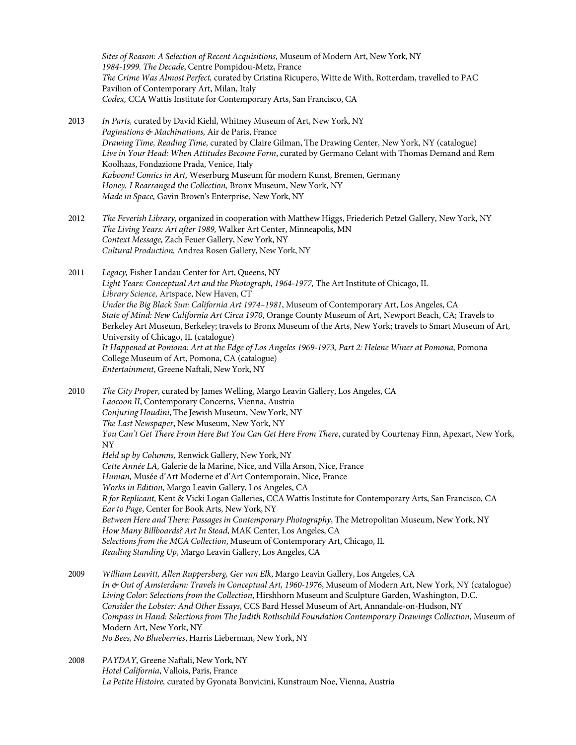*Sites of Reason: A Selection of Recent Acquisitions,* Museum of Modern Art, New York, NY *1984-1999. The Decade*, Centre Pompidou-Metz, France *The Crime Was Almost Perfect,* curated by Cristina Ricupero, Witte de With, Rotterdam, travelled to PAC Pavilion of Contemporary Art, Milan, Italy *Codex,* CCA Wattis Institute for Contemporary Arts, San Francisco, CA

- 2013 *In Parts,* curated by David Kiehl, Whitney Museum of Art, New York, NY *Paginations & Machinations,* Air de Paris, France *Drawing Time, Reading Time,* curated by Claire Gilman, The Drawing Center, New York, NY (catalogue) *Live in Your Head: When Attitudes Become Form*, curated by Germano Celant with Thomas Demand and Rem Koolhaas, Fondazione Prada, Venice, Italy *Kaboom! Comics in Art,* Weserburg Museum für modern Kunst, Bremen, Germany *Honey, I Rearranged the Collection,* Bronx Museum, New York, NY *Made in Space,* Gavin Brown's Enterprise, New York, NY
- 2012 *The Feverish Library,* organized in cooperation with Matthew Higgs, Friederich Petzel Gallery, New York, NY *The Living Years: Art after 1989,* Walker Art Center, Minneapolis, MN *Context Message,* Zach Feuer Gallery, New York, NY *Cultural Production,* Andrea Rosen Gallery, New York, NY

2011 *Legacy,* Fisher Landau Center for Art, Queens, NY *Light Years: Conceptual Art and the Photograph, 1964-1977,* The Art Institute of Chicago, IL *Library Science,* Artspace, New Haven, CT *Under the Big Black Sun: California Art 1974–1981*, Museum of Contemporary Art, Los Angeles, CA *State of Mind: New California Art Circa 1970*, Orange County Museum of Art, Newport Beach, CA; Travels to Berkeley Art Museum, Berkeley; travels to Bronx Museum of the Arts, New York; travels to Smart Museum of Art, University of Chicago, IL (catalogue) *It Happened at Pomona: Art at the Edge of Los Angeles 1969-1973, Part 2: Helene Winer at Pomona,* Pomona College Museum of Art, Pomona, CA (catalogue) *Entertainment*, Greene Naftali, New York, NY

2010 *The City Proper*, curated by James Welling, Margo Leavin Gallery, Los Angeles, CA *Laocoon II*, Contemporary Concerns, Vienna, Austria *Conjuring Houdini*, The Jewish Museum, New York, NY *The Last Newspaper*, New Museum, New York, NY *You Can't Get There From Here But You Can Get Here From There*, curated by Courtenay Finn, Apexart, New York, NY *Held up by Columns,* Renwick Gallery, New York, NY *Cette Année LA,* Galerie de la Marine, Nice, and Villa Arson, Nice, France *Human,* Musée d'Art Moderne et d'Art Contemporain, Nice, France *Works in Edition,* Margo Leavin Gallery, Los Angeles, CA *R for Replicant,* Kent & Vicki Logan Galleries, CCA Wattis Institute for Contemporary Arts, San Francisco, CA *Ear to Page*, Center for Book Arts, New York, NY *Between Here and There: Passages in Contemporary Photography*, The Metropolitan Museum, New York, NY *How Many Billboards? Art In Stead*, MAK Center, Los Angeles, CA *Selections from the MCA Collection*, Museum of Contemporary Art, Chicago, IL *Reading Standing Up*, Margo Leavin Gallery, Los Angeles, CA

- 2009 *William Leavitt, Allen Ruppersberg, Ger van Elk*, Margo Leavin Gallery, Los Angeles, CA *In & Out of Amsterdam: Travels in Conceptual Art, 1960-1976*, Museum of Modern Art, New York, NY (catalogue) *Living Color: Selections from the Collection*, Hirshhorn Museum and Sculpture Garden, Washington, D.C. *Consider the Lobster: And Other Essays*, CCS Bard Hessel Museum of Art, Annandale-on-Hudson, NY *Compass in Hand: Selections from The Judith Rothschild Foundation Contemporary Drawings Collection*, Museum of Modern Art, New York, NY *No Bees, No Blueberries*, Harris Lieberman, New York, NY
- 2008 *PAYDAY*, Greene Naftali, New York, NY *Hotel California*, Vallois, Paris, France *La Petite Histoire,* curated by Gyonata Bonvicini, Kunstraum Noe, Vienna, Austria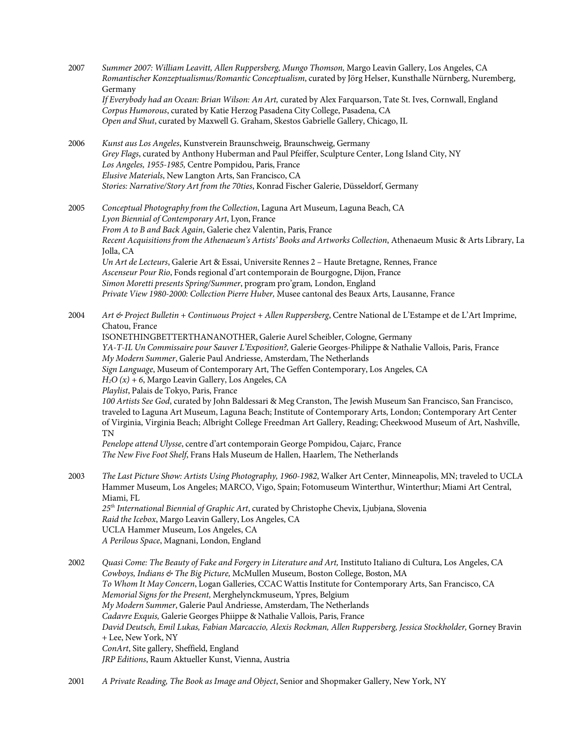| 2007 | Summer 2007: William Leavitt, Allen Ruppersberg, Mungo Thomson, Margo Leavin Gallery, Los Angeles, CA<br>Romantischer Konzeptualismus/Romantic Conceptualism, curated by Jörg Helser, Kunsthalle Nürnberg, Nuremberg,<br>Germany<br>If Everybody had an Ocean: Brian Wilson: An Art, curated by Alex Farquarson, Tate St. Ives, Cornwall, England<br>Corpus Humorous, curated by Katie Herzog Pasadena City College, Pasadena, CA<br>Open and Shut, curated by Maxwell G. Graham, Skestos Gabrielle Gallery, Chicago, IL                                                                                                                                                                                                                                                                                                                                                                                                                                                                                                                                                                                                               |
|------|----------------------------------------------------------------------------------------------------------------------------------------------------------------------------------------------------------------------------------------------------------------------------------------------------------------------------------------------------------------------------------------------------------------------------------------------------------------------------------------------------------------------------------------------------------------------------------------------------------------------------------------------------------------------------------------------------------------------------------------------------------------------------------------------------------------------------------------------------------------------------------------------------------------------------------------------------------------------------------------------------------------------------------------------------------------------------------------------------------------------------------------|
| 2006 | Kunst aus Los Angeles, Kunstverein Braunschweig, Braunschweig, Germany<br>Grey Flags, curated by Anthony Huberman and Paul Pfeiffer, Sculpture Center, Long Island City, NY<br>Los Angeles, 1955-1985, Centre Pompidou, Paris, France<br>Elusive Materials, New Langton Arts, San Francisco, CA<br>Stories: Narrative/Story Art from the 70ties, Konrad Fischer Galerie, Düsseldorf, Germany                                                                                                                                                                                                                                                                                                                                                                                                                                                                                                                                                                                                                                                                                                                                           |
| 2005 | Conceptual Photography from the Collection, Laguna Art Museum, Laguna Beach, CA<br>Lyon Biennial of Contemporary Art, Lyon, France<br>From A to B and Back Again, Galerie chez Valentin, Paris, France<br>Recent Acquisitions from the Athenaeum's Artists' Books and Artworks Collection, Athenaeum Music & Arts Library, La<br>Jolla, CA<br>Un Art de Lecteurs, Galerie Art & Essai, Universite Rennes 2 - Haute Bretagne, Rennes, France<br>Ascenseur Pour Rio, Fonds regional d'art contemporain de Bourgogne, Dijon, France<br>Simon Moretti presents Spring/Summer, program pro'gram, London, England<br>Private View 1980-2000: Collection Pierre Huber, Musee cantonal des Beaux Arts, Lausanne, France                                                                                                                                                                                                                                                                                                                                                                                                                        |
| 2004 | Art & Project Bulletin + Continuous Project + Allen Ruppersberg, Centre National de L'Estampe et de L'Art Imprime,<br>Chatou, France<br>ISONETHINGBETTERTHANANOTHER, Galerie Aurel Scheibler, Cologne, Germany<br>YA-T-IL Un Commissaire pour Sauver L'Exposition?, Galerie Georges-Philippe & Nathalie Vallois, Paris, France<br>My Modern Summer, Galerie Paul Andriesse, Amsterdam, The Netherlands<br>Sign Language, Museum of Contemporary Art, The Geffen Contemporary, Los Angeles, CA<br>$H_2O(x) + 6$ , Margo Leavin Gallery, Los Angeles, CA<br>Playlist, Palais de Tokyo, Paris, France<br>100 Artists See God, curated by John Baldessari & Meg Cranston, The Jewish Museum San Francisco, San Francisco,<br>traveled to Laguna Art Museum, Laguna Beach; Institute of Contemporary Arts, London; Contemporary Art Center<br>of Virginia, Virginia Beach; Albright College Freedman Art Gallery, Reading; Cheekwood Museum of Art, Nashville,<br>TN<br>Penelope attend Ulysse, centre d'art contemporain George Pompidou, Cajarc, France<br>The New Five Foot Shelf, Frans Hals Museum de Hallen, Haarlem, The Netherlands |
| 2003 | The Last Picture Show: Artists Using Photography, 1960-1982, Walker Art Center, Minneapolis, MN; traveled to UCLA<br>Hammer Museum, Los Angeles; MARCO, Vigo, Spain; Fotomuseum Winterthur, Winterthur; Miami Art Central,<br>Miami, FL<br>25 <sup>th</sup> International Biennial of Graphic Art, curated by Christophe Chevix, Ljubjana, Slovenia<br>Raid the Icebox, Margo Leavin Gallery, Los Angeles, CA<br>UCLA Hammer Museum, Los Angeles, CA<br>A Perilous Space, Magnani, London, England                                                                                                                                                                                                                                                                                                                                                                                                                                                                                                                                                                                                                                     |
| 2002 | Quasi Come: The Beauty of Fake and Forgery in Literature and Art, Instituto Italiano di Cultura, Los Angeles, CA<br>Cowboys, Indians & The Big Picture, McMullen Museum, Boston College, Boston, MA<br>To Whom It May Concern, Logan Galleries, CCAC Wattis Institute for Contemporary Arts, San Francisco, CA<br>Memorial Signs for the Present, Merghelynckmuseum, Ypres, Belgium<br>My Modern Summer, Galerie Paul Andriesse, Amsterdam, The Netherlands<br>Cadavre Exquis, Galerie Georges Phiippe & Nathalie Vallois, Paris, France<br>David Deutsch, Emil Lukas, Fabian Marcaccio, Alexis Rockman, Allen Ruppersberg, Jessica Stockholder, Gorney Bravin<br>+ Lee, New York, NY<br>ConArt, Site gallery, Sheffield, England<br>JRP Editions, Raum Aktueller Kunst, Vienna, Austria                                                                                                                                                                                                                                                                                                                                               |

2001 *A Private Reading, The Book as Image and Object*, Senior and Shopmaker Gallery, New York, NY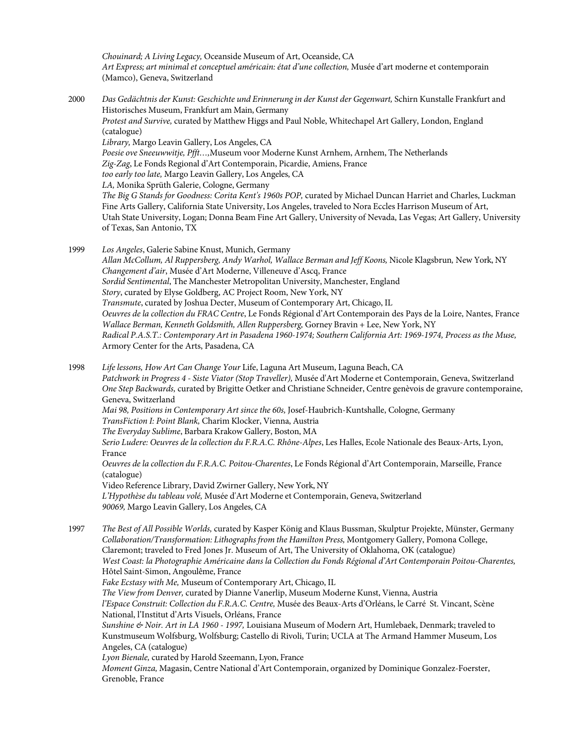*Chouinard; A Living Legacy,* Oceanside Museum of Art, Oceanside, CA *Art Express; art minimal et conceptuel américain: état d'une collection,* Musée d'art moderne et contemporain (Mamco), Geneva, Switzerland

2000 *Das Gedächtnis der Kunst: Geschichte und Erinnerung in der Kunst der Gegenwart,* Schirn Kunstalle Frankfurt and Historisches Museum, Frankfurt am Main, Germany *Protest and Survive,* curated by Matthew Higgs and Paul Noble, Whitechapel Art Gallery, London, England (catalogue) *Library,* Margo Leavin Gallery, Los Angeles, CA *Poesie ove Sneeuwwitje, Pfft…,*Museum voor Moderne Kunst Arnhem, Arnhem, The Netherlands *Zig-Zag*, Le Fonds Regional d'Art Contemporain, Picardie, Amiens, France *too early too late,* Margo Leavin Gallery, Los Angeles, CA *LA,* Monika Sprüth Galerie, Cologne, Germany *The Big G Stands for Goodness: Corita Kent's 1960s POP,* curated by Michael Duncan Harriet and Charles, Luckman Fine Arts Gallery, California State University, Los Angeles, traveled to Nora Eccles Harrison Museum of Art, Utah State University, Logan; Donna Beam Fine Art Gallery, University of Nevada, Las Vegas; Art Gallery, University of Texas, San Antonio, TX 1999 *Los Angeles*, Galerie Sabine Knust, Munich, Germany

*Allan McCollum, Al Ruppersberg, Andy Warhol, Wallace Berman and Jeff Koons,* Nicole Klagsbrun*,* New York, NY *Changement d'air*, Musée d'Art Moderne, Villeneuve d'Ascq, France *Sordid Sentimental*, The Manchester Metropolitan University, Manchester, England *Story*, curated by Elyse Goldberg, AC Project Room, New York, NY *Transmute*, curated by Joshua Decter, Museum of Contemporary Art, Chicago, IL *Oeuvres de la collection du FRAC Centre*, Le Fonds Régional d'Art Contemporain des Pays de la Loire, Nantes, France *Wallace Berman, Kenneth Goldsmith, Allen Ruppersberg,* Gorney Bravin + Lee, New York, NY *Radical P.A.S.T.: Contemporary Art in Pasadena 1960-1974; Southern California Art: 1969-1974, Process as the Muse,*  Armory Center for the Arts, Pasadena, CA

1998 *Life lessons, How Art Can Change Your* Life, Laguna Art Museum, Laguna Beach, CA *Patchwork in Progress 4 - Siste Viator (Stop Traveller),* Musée d'Art Moderne et Contemporain, Geneva, Switzerland *One Step Backwards,* curated by Brigitte Oetker and Christiane Schneider, Centre genèvois de gravure contemporaine, Geneva, Switzerland *Mai 98, Positions in Contemporary Art since the 60s,* Josef-Haubrich-Kuntshalle, Cologne, Germany *TransFiction I: Point Blank,* Charim Klocker, Vienna, Austria *The Everyday Sublime*, Barbara Krakow Gallery, Boston, MA *Serio Ludere: Oeuvres de la collection du F.R.A.C. Rhône-Alpes*, Les Halles, Ecole Nationale des Beaux-Arts, Lyon, France *Oeuvres de la collection du F.R.A.C. Poitou-Charentes*, Le Fonds Régional d'Art Contemporain, Marseille, France (catalogue) Video Reference Library, David Zwirner Gallery, New York, NY *L'Hypothèse du tableau volé,* Musée d'Art Moderne et Contemporain, Geneva, Switzerland *90069,* Margo Leavin Gallery, Los Angeles, CA 1997 *The Best of All Possible Worlds,* curated by Kasper König and Klaus Bussman, Skulptur Projekte, Münster, Germany *Collaboration/Transformation: Lithographs from the Hamilton Press,* Montgomery Gallery, Pomona College, Claremont; traveled to Fred Jones Jr. Museum of Art, The University of Oklahoma, OK (catalogue) *West Coast: la Photographie Américaine dans la Collection du Fonds Régional d'Art Contemporain Poitou-Charentes,* Hôtel Saint-Simon, Angoulême, France *Fake Ecstasy with Me,* Museum of Contemporary Art, Chicago, IL *The View from Denver,* curated by Dianne Vanerlip, Museum Moderne Kunst, Vienna, Austria *l'Espace Construit: Collection du F.R.A.C. Centre,* Musée des Beaux-Arts d'Orléans, le Carré St. Vincant, Scène National, l'Institut d'Arts Visuels, Orléans, France

*Sunshine & Noir. Art in LA 1960 - 1997,* Louisiana Museum of Modern Art, Humlebaek, Denmark; traveled to Kunstmuseum Wolfsburg, Wolfsburg; Castello di Rivoli, Turin; UCLA at The Armand Hammer Museum, Los Angeles, CA (catalogue)

*Lyon Bienale,* curated by Harold Szeemann, Lyon, France

*Moment Ginza,* Magasin, Centre National d'Art Contemporain, organized by Dominique Gonzalez-Foerster, Grenoble, France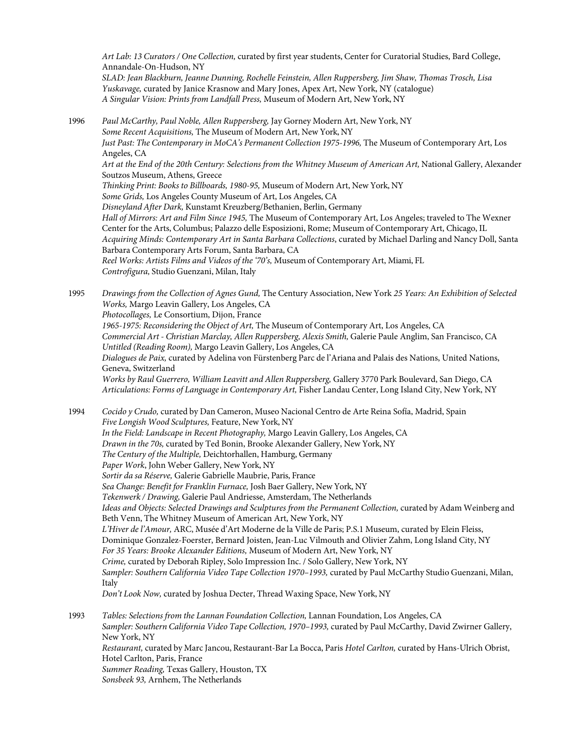*Art Lab: 13 Curators / One Collection,* curated by first year students, Center for Curatorial Studies, Bard College, Annandale-On-Hudson, NY

*SLAD: Jean Blackburn, Jeanne Dunning, Rochelle Feinstein, Allen Ruppersberg, Jim Shaw, Thomas Trosch, Lisa Yuskavage,* curated by Janice Krasnow and Mary Jones, Apex Art, New York, NY (catalogue) *A Singular Vision: Prints from Landfall Press,* Museum of Modern Art, New York, NY

1996 *Paul McCarthy, Paul Noble, Allen Ruppersberg,* Jay Gorney Modern Art, New York, NY *Some Recent Acquisitions,* The Museum of Modern Art, New York, NY *Just Past: The Contemporary in MoCA's Permanent Collection 1975-1996,* The Museum of Contemporary Art, Los Angeles, CA *Art at the End of the 20th Century: Selections from the Whitney Museum of American Art,* National Gallery, Alexander Soutzos Museum, Athens, Greece *Thinking Print: Books to Billboards, 1980-95,* Museum of Modern Art, New York, NY *Some Grids,* Los Angeles County Museum of Art, Los Angeles, CA *Disneyland After Dark,* Kunstamt Kreuzberg/Bethanien, Berlin, Germany *Hall of Mirrors: Art and Film Since 1945,* The Museum of Contemporary Art, Los Angeles; traveled to The Wexner Center for the Arts, Columbus; Palazzo delle Esposizioni, Rome; Museum of Contemporary Art, Chicago, IL *Acquiring Minds: Contemporary Art in Santa Barbara Collections*, curated by Michael Darling and Nancy Doll, Santa Barbara Contemporary Arts Forum, Santa Barbara, CA *Reel Works: Artists Films and Videos of the '70's,* Museum of Contemporary Art, Miami, FL *Controfigura,* Studio Guenzani, Milan, Italy 1995 *Drawings from the Collection of Agnes Gund,* The Century Association, New York *25 Years: An Exhibition of Selected Works,* Margo Leavin Gallery, Los Angeles, CA *Photocollages,* Le Consortium, Dijon, France *1965-1975: Reconsidering the Object of Art,* The Museum of Contemporary Art, Los Angeles, CA *Commercial Art - Christian Marclay, Allen Ruppersberg, Alexis Smith,* Galerie Paule Anglim, San Francisco, CA *Untitled (Reading Room),* Margo Leavin Gallery, Los Angeles, CA *Dialogues de Paix,* curated by Adelina von Fürstenberg Parc de l'Ariana and Palais des Nations, United Nations, Geneva, Switzerland *Works by Raul Guerrero, William Leavitt and Allen Ruppersberg,* Gallery 3770 Park Boulevard, San Diego, CA *Articulations: Forms of Language in Contemporary Art,* Fisher Landau Center, Long Island City, New York, NY 1994 *Cocido y Crudo,* curated by Dan Cameron, Museo Nacional Centro de Arte Reina Sofía, Madrid, Spain *Five Longish Wood Sculptures,* Feature, New York, NY *In the Field: Landscape in Recent Photography,* Margo Leavin Gallery, Los Angeles, CA *Drawn in the 70s,* curated by Ted Bonin, Brooke Alexander Gallery, New York, NY *The Century of the Multiple,* Deichtorhallen, Hamburg, Germany *Paper Work*, John Weber Gallery, New York, NY *Sortir da sa Réserve,* Galerie Gabrielle Maubrie, Paris, France *Sea Change: Benefit for Franklin Furnace,* Josh Baer Gallery, New York, NY *Tekenwerk / Drawing,* Galerie Paul Andriesse, Amsterdam, The Netherlands *Ideas and Objects: Selected Drawings and Sculptures from the Permanent Collection,* curated by Adam Weinberg and Beth Venn, The Whitney Museum of American Art, New York, NY *L'Hiver de l'Amour,* ARC, Musée d'Art Moderne de la Ville de Paris; P.S.1 Museum, curated by Elein Fleiss, Dominique Gonzalez-Foerster, Bernard Joisten, Jean-Luc Vilmouth and Olivier Zahm, Long Island City, NY *For 35 Years: Brooke Alexander Editions,* Museum of Modern Art, New York, NY *Crime,* curated by Deborah Ripley, Solo Impression Inc. / Solo Gallery, New York, NY *Sampler: Southern California Video Tape Collection 1970–1993,* curated by Paul McCarthy Studio Guenzani, Milan, Italy *Don't Look Now,* curated by Joshua Decter, Thread Waxing Space, New York, NY 1993 *Tables: Selections from the Lannan Foundation Collection,* Lannan Foundation, Los Angeles, CA *Sampler: Southern California Video Tape Collection, 1970–1993,* curated by Paul McCarthy, David Zwirner Gallery, New York, NY *Restaurant,* curated by Marc Jancou, Restaurant-Bar La Bocca, Paris *Hotel Carlton,* curated by Hans-Ulrich Obrist, Hotel Carlton, Paris, France *Summer Reading,* Texas Gallery, Houston, TX *Sonsbeek 93,* Arnhem, The Netherlands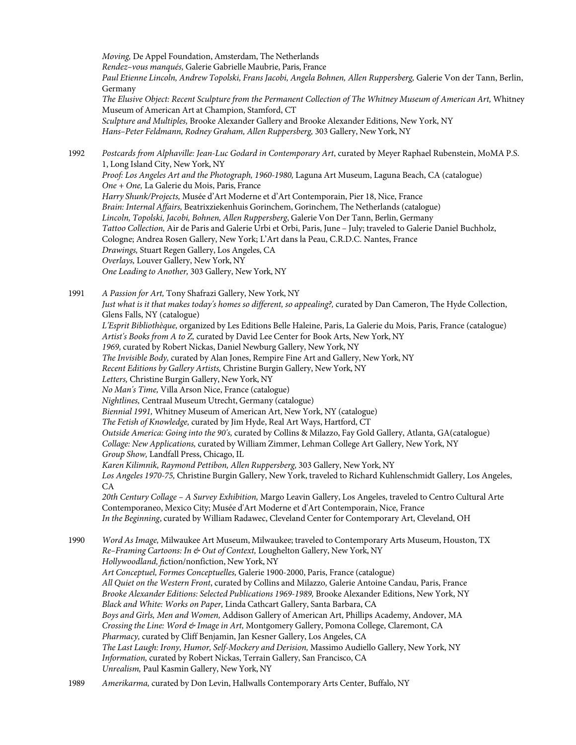*Moving,* De Appel Foundation, Amsterdam, The Netherlands *Rendez–vous manqués,* Galerie Gabrielle Maubrie, Paris, France *Paul Etienne Lincoln, Andrew Topolski, Frans Jacobi, Angela Bohnen, Allen Ruppersberg,* Galerie Von der Tann, Berlin, Germany *The Elusive Object: Recent Sculpture from the Permanent Collection of The Whitney Museum of American Art,* Whitney Museum of American Art at Champion, Stamford, CT *Sculpture and Multiples,* Brooke Alexander Gallery and Brooke Alexander Editions, New York, NY *Hans–Peter Feldmann, Rodney Graham, Allen Ruppersberg,* 303 Gallery, New York, NY 1992 *Postcards from Alphaville: Jean-Luc Godard in Contemporary Art*, curated by Meyer Raphael Rubenstein, MoMA P.S. 1, Long Island City, New York, NY *Proof: Los Angeles Art and the Photograph, 1960-1980,* Laguna Art Museum, Laguna Beach, CA (catalogue) *One + One,* La Galerie du Mois, Paris, France *Harry Shunk/Projects,* Musée d'Art Moderne et d'Art Contemporain, Pier 18, Nice, France *Brain: Internal Affairs,* Beatrixziekenhuis Gorinchem, Gorinchem, The Netherlands (catalogue) *Lincoln, Topolski, Jacobi, Bohnen, Allen Ruppersberg*, Galerie Von Der Tann, Berlin, Germany *Tattoo Collection,* Air de Paris and Galerie Urbi et Orbi, Paris, June – July; traveled to Galerie Daniel Buchholz, Cologne; Andrea Rosen Gallery, New York; L'Art dans la Peau, C.R.D.C. Nantes, France *Drawings,* Stuart Regen Gallery, Los Angeles, CA *Overlays,* Louver Gallery, New York, NY *One Leading to Another,* 303 Gallery, New York, NY 1991 *A Passion for Art,* Tony Shafrazi Gallery, New York, NY *Just what is it that makes today's homes so different, so appealing?,* curated by Dan Cameron, The Hyde Collection, Glens Falls, NY (catalogue) *L'Esprit Bibliothèque,* organized by Les Editions Belle Haleine, Paris, La Galerie du Mois, Paris, France (catalogue) *Artist's Books from A to Z,* curated by David Lee Center for Book Arts, New York, NY *1969,* curated by Robert Nickas, Daniel Newburg Gallery, New York, NY *The Invisible Body,* curated by Alan Jones, Rempire Fine Art and Gallery, New York, NY *Recent Editions by Gallery Artists,* Christine Burgin Gallery, New York, NY *Letters,* Christine Burgin Gallery, New York, NY *No Man's Time,* Villa Arson Nice, France (catalogue) *Nightlines,* Centraal Museum Utrecht, Germany (catalogue) *Biennial 1991,* Whitney Museum of American Art, New York, NY (catalogue) *The Fetish of Knowledge,* curated by Jim Hyde, Real Art Ways, Hartford, CT *Outside America: Going into the 90's,* curated by Collins & Milazzo, Fay Gold Gallery, Atlanta, GA(catalogue) *Collage: New Applications,* curated by William Zimmer, Lehman College Art Gallery, New York, NY *Group Show,* Landfall Press, Chicago, IL *Karen Kilimnik, Raymond Pettibon, Allen Ruppersberg,* 303 Gallery, New York, NY *Los Angeles 1970-75,* Christine Burgin Gallery, New York, traveled to Richard Kuhlenschmidt Gallery, Los Angeles, CA *20th Century Collage – A Survey Exhibition,* Margo Leavin Gallery, Los Angeles, traveled to Centro Cultural Arte Contemporaneo, Mexico City; Musée d'Art Moderne et d'Art Contemporain, Nice, France *In the Beginning*, curated by William Radawec, Cleveland Center for Contemporary Art, Cleveland, OH 1990 *Word As Image,* Milwaukee Art Museum, Milwaukee; traveled to Contemporary Arts Museum, Houston, TX *Re–Framing Cartoons: In & Out of Context,* Loughelton Gallery, New York, NY *Hollywoodland, f*iction/nonfiction, New York, NY *Art Conceptuel, Formes Conceptuelles,* Galerie 1900-2000, Paris, France (catalogue) *All Quiet on the Western Front*, curated by Collins and Milazzo*,* Galerie Antoine Candau, Paris, France *Brooke Alexander Editions: Selected Publications 1969-1989,* Brooke Alexander Editions, New York, NY *Black and White: Works on Paper,* Linda Cathcart Gallery, Santa Barbara, CA *Boys and Girls, Men and Women,* Addison Gallery of American Art, Phillips Academy, Andover, MA *Crossing the Line: Word & Image in Art,* Montgomery Gallery, Pomona College, Claremont, CA *Pharmacy,* curated by Cliff Benjamin, Jan Kesner Gallery, Los Angeles, CA *The Last Laugh: Irony, Humor, Self-Mockery and Derision,* Massimo Audiello Gallery, New York, NY *Information,* curated by Robert Nickas, Terrain Gallery, San Francisco, CA *Unrealism,* Paul Kasmin Gallery, New York, NY

1989 *Amerikarma,* curated by Don Levin, Hallwalls Contemporary Arts Center, Buffalo, NY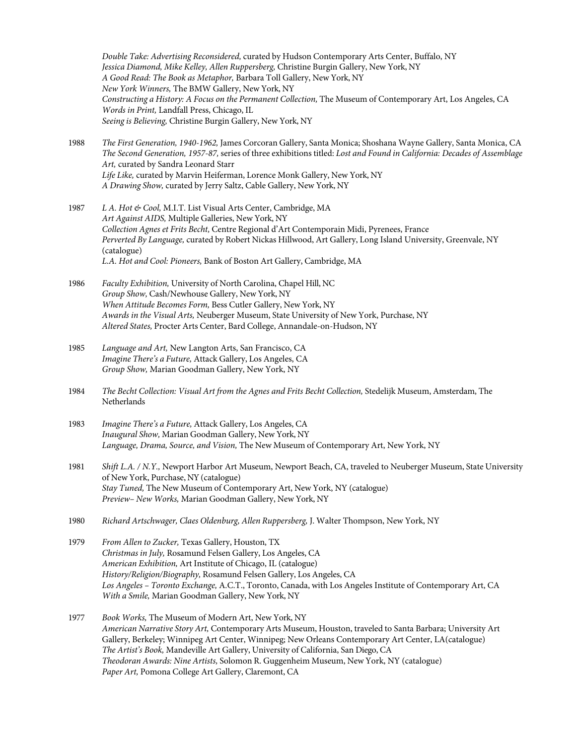*Double Take: Advertising Reconsidered,* curated by Hudson Contemporary Arts Center, Buffalo, NY *Jessica Diamond, Mike Kelley, Allen Ruppersberg,* Christine Burgin Gallery, New York, NY *A Good Read: The Book as Metaphor,* Barbara Toll Gallery, New York, NY *New York Winners,* The BMW Gallery, New York, NY *Constructing a History: A Focus on the Permanent Collection,* The Museum of Contemporary Art, Los Angeles, CA *Words in Print,* Landfall Press, Chicago, IL *Seeing is Believing,* Christine Burgin Gallery, New York, NY

- 1988 *The First Generation, 1940-1962,* James Corcoran Gallery, Santa Monica; Shoshana Wayne Gallery, Santa Monica, CA *The Second Generation, 1957-87,* series of three exhibitions titled: *Lost and Found in California: Decades of Assemblage Art,* curated by Sandra Leonard Starr *Life Like,* curated by Marvin Heiferman, Lorence Monk Gallery, New York, NY *A Drawing Show,* curated by Jerry Saltz, Cable Gallery, New York, NY
- 1987 *L A. Hot & Cool,* M.I.T. List Visual Arts Center, Cambridge, MA *Art Against AIDS,* Multiple Galleries, New York, NY *Collection Agnes et Frits Becht,* Centre Regional d'Art Contemporain Midi, Pyrenees, France *Perverted By Language,* curated by Robert Nickas Hillwood, Art Gallery, Long Island University, Greenvale, NY (catalogue) *L.A. Hot and Cool: Pioneers,* Bank of Boston Art Gallery, Cambridge, MA
- 1986 *Faculty Exhibition,* University of North Carolina, Chapel Hill, NC *Group Show,* Cash/Newhouse Gallery, New York, NY *When Attitude Becomes Form,* Bess Cutler Gallery, New York, NY *Awards in the Visual Arts,* Neuberger Museum, State University of New York, Purchase, NY *Altered States,* Procter Arts Center, Bard College, Annandale-on-Hudson, NY
- 1985 *Language and Art,* New Langton Arts, San Francisco, CA *Imagine There's a Future,* Attack Gallery, Los Angeles, CA *Group Show,* Marian Goodman Gallery, New York, NY
- 1984 *The Becht Collection: Visual Art from the Agnes and Frits Becht Collection,* Stedelijk Museum, Amsterdam, The Netherlands
- 1983 *Imagine There's a Future,* Attack Gallery, Los Angeles, CA *Inaugural Show,* Marian Goodman Gallery, New York, NY *Language, Drama, Source, and Vision,* The New Museum of Contemporary Art, New York, NY
- 1981 *Shift L.A. / N.Y.,* Newport Harbor Art Museum, Newport Beach, CA, traveled to Neuberger Museum, State University of New York, Purchase, NY (catalogue) *Stay Tuned,* The New Museum of Contemporary Art, New York, NY (catalogue) *Preview– New Works,* Marian Goodman Gallery, New York, NY
- 1980 *Richard Artschwager, Claes Oldenburg, Allen Ruppersberg,* J. Walter Thompson, New York, NY
- 1979 *From Allen to Zucker,* Texas Gallery, Houston, TX *Christmas in July,* Rosamund Felsen Gallery, Los Angeles, CA *American Exhibition,* Art Institute of Chicago, IL (catalogue) *History/Religion/Biography,* Rosamund Felsen Gallery, Los Angeles, CA *Los Angeles – Toronto Exchange,* A.C.T., Toronto, Canada, with Los Angeles Institute of Contemporary Art, CA *With a Smile,* Marian Goodman Gallery, New York, NY
- 1977 *Book Works,* The Museum of Modern Art, New York, NY *American Narrative Story Art,* Contemporary Arts Museum, Houston, traveled to Santa Barbara; University Art Gallery, Berkeley; Winnipeg Art Center, Winnipeg; New Orleans Contemporary Art Center, LA(catalogue) *The Artist's Book,* Mandeville Art Gallery, University of California, San Diego, CA *Theodoran Awards: Nine Artists,* Solomon R. Guggenheim Museum, New York, NY (catalogue) *Paper Art,* Pomona College Art Gallery, Claremont, CA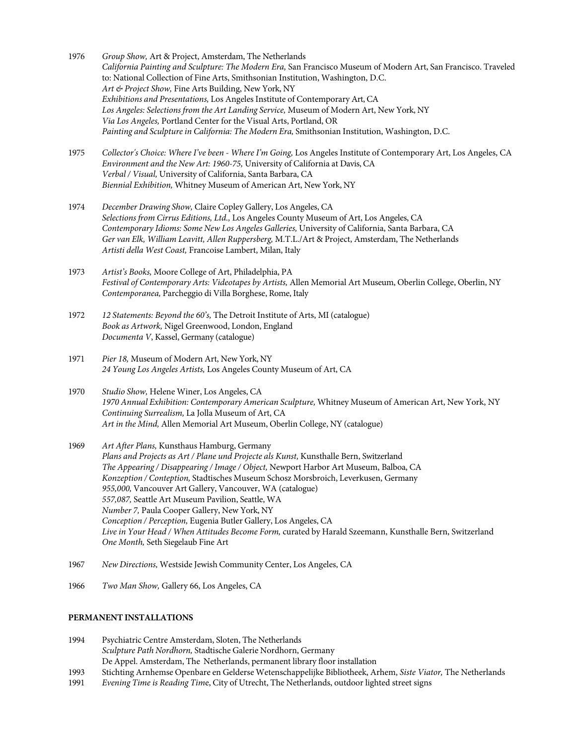- 1976 *Group Show,* Art & Project, Amsterdam, The Netherlands *California Painting and Sculpture: The Modern Era,* San Francisco Museum of Modern Art, San Francisco. Traveled to: National Collection of Fine Arts, Smithsonian Institution, Washington, D.C. *Art & Project Show,* Fine Arts Building, New York, NY *Exhibitions and Presentations,* Los Angeles Institute of Contemporary Art, CA *Los Angeles: Selections from the Art Landing Service,* Museum of Modern Art, New York, NY *Via Los Angeles,* Portland Center for the Visual Arts, Portland, OR *Painting and Sculpture in California: The Modern Era,* Smithsonian Institution, Washington, D.C.
- 1975 *Collector's Choice: Where I've been - Where I'm Going,* Los Angeles Institute of Contemporary Art, Los Angeles, CA *Environment and the New Art: 1960-75,* University of California at Davis, CA *Verbal / Visual,* University of California, Santa Barbara, CA *Biennial Exhibition,* Whitney Museum of American Art, New York, NY
- 1974 *December Drawing Show,* Claire Copley Gallery, Los Angeles, CA *Selections from Cirrus Editions, Ltd.,* Los Angeles County Museum of Art, Los Angeles, CA *Contemporary Idioms: Some New Los Angeles Galleries,* University of California, Santa Barbara, CA *Ger van Elk, William Leavitt, Allen Ruppersberg,* M.T.L./Art & Project, Amsterdam, The Netherlands *Artisti della West Coast,* Francoise Lambert, Milan, Italy
- 1973 *Artist's Books,* Moore College of Art, Philadelphia, PA *Festival of Contemporary Arts: Videotapes by Artists,* Allen Memorial Art Museum, Oberlin College, Oberlin, NY *Contemporanea,* Parcheggio di Villa Borghese, Rome, Italy
- 1972 *12 Statements: Beyond the 60's,* The Detroit Institute of Arts, MI (catalogue) *Book as Artwork,* Nigel Greenwood, London, England *Documenta V*, Kassel, Germany (catalogue)
- 1971 *Pier 18,* Museum of Modern Art, New York, NY *24 Young Los Angeles Artists,* Los Angeles County Museum of Art, CA
- 1970 *Studio Show,* Helene Winer, Los Angeles, CA *1970 Annual Exhibition: Contemporary American Sculpture,* Whitney Museum of American Art, New York, NY *Continuing Surrealism,* La Jolla Museum of Art, CA *Art in the Mind,* Allen Memorial Art Museum, Oberlin College, NY (catalogue)
- 1969 *Art After Plans,* Kunsthaus Hamburg, Germany *Plans and Projects as Art / Plane und Projecte als Kunst,* Kunsthalle Bern, Switzerland *The Appearing / Disappearing / Image / Object,* Newport Harbor Art Museum, Balboa, CA *Konzeption / Conteption,* Stadtisches Museum Schosz Morsbroich, Leverkusen, Germany *955,000,* Vancouver Art Gallery, Vancouver, WA (catalogue) *557,087,* Seattle Art Museum Pavilion, Seattle, WA *Number 7,* Paula Cooper Gallery, New York, NY *Conception / Perception,* Eugenia Butler Gallery, Los Angeles, CA *Live in Your Head / When Attitudes Become Form,* curated by Harald Szeemann, Kunsthalle Bern, Switzerland *One Month,* Seth Siegelaub Fine Art
- 1967 *New Directions,* Westside Jewish Community Center, Los Angeles, CA
- 1966 *Two Man Show,* Gallery 66, Los Angeles, CA

#### **PERMANENT INSTALLATIONS**

- 1994 Psychiatric Centre Amsterdam, Sloten, The Netherlands *Sculpture Path Nordhorn,* Stadtische Galerie Nordhorn, Germany De Appel. Amsterdam, The Netherlands, permanent library floor installation
- 1993 Stichting Arnhemse Openbare en Gelderse Wetenschappelijke Bibliotheek, Arhem, *Siste Viator,* The Netherlands
- 1991 *Evening Time is Reading Tim*e, City of Utrecht, The Netherlands, outdoor lighted street signs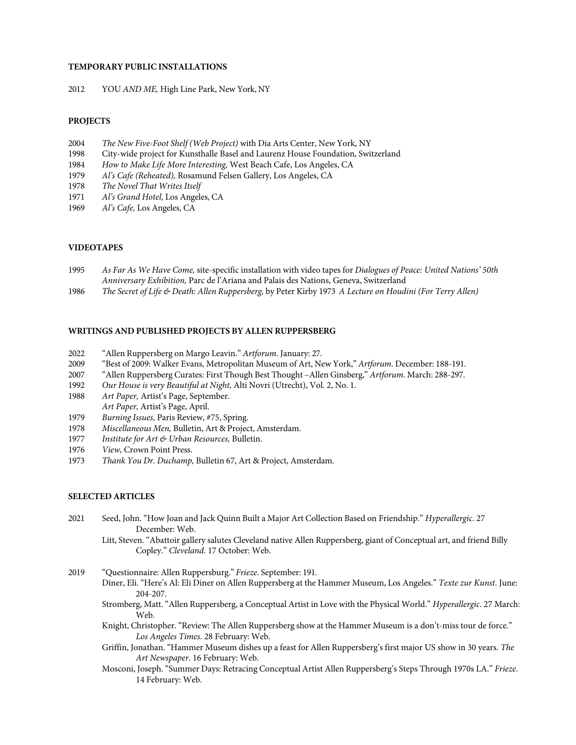### **TEMPORARY PUBLIC INSTALLATIONS**

2012 YOU *AND ME,* High Line Park, New York, NY

#### **PROJECTS**

- 2004 *The New Five-Foot Shelf (Web Project)* with Dia Arts Center, New York, NY
- 1998 City-wide project for Kunsthalle Basel and Laurenz House Foundation, Switzerland
- 1984 *How to Make Life More Interesting,* West Beach Cafe, Los Angeles, CA
- 1979 *Al's Cafe (Reheated),* Rosamund Felsen Gallery, Los Angeles, CA
- 1978 *The Novel That Writes Itself*
- 1971 *Al's Grand Hotel,* Los Angeles, CA
- 1969 *Al's Cafe,* Los Angeles, CA

#### **VIDEOTAPES**

- 1995 *As Far As We Have Come,* site-specific installation with video tapes for *Dialogues of Peace: United Nations' 50th Anniversary Exhibition,* Parc de l'Ariana and Palais des Nations, Geneva, Switzerland
- 1986 *The Secret of Life & Death: Allen Ruppersberg,* by Peter Kirby 1973 *A Lecture on Houdini (For Terry Allen)*

## **WRITINGS AND PUBLISHED PROJECTS BY ALLEN RUPPERSBERG**

- 2022 "Allen Ruppersberg on Margo Leavin." *Artforum*. January: 27.
- 2009 "Best of 2009: Walker Evans, Metropolitan Museum of Art, New York," *Artforum*. December: 188-191.
- 2007 "Allen Ruppersberg Curates: First Though Best Thought –Allen Ginsberg," *Artforum.* March: 288-297.
- 1992 *Our House is very Beautiful at Night,* Alti Novri (Utrecht), Vol. 2, No. 1.
- 1988 *Art Paper,* Artist's Page, September. *Art Paper,* Artist's Page, April.
- 1979 *Burning Issues,* Paris Review, #75, Spring.
- 1978 *Miscellaneous Men,* Bulletin, Art & Project, Amsterdam.
- 1977 *Institute for Art & Urban Resources,* Bulletin.
- 1976 *View, Crown Point Press.*<br>1973 *Thank You Dr. Duchamp*.
- 1973 *Thank You Dr. Duchamp,* Bulletin 67, Art & Project, Amsterdam.

### **SELECTED ARTICLES**

- 2021 Seed, John. "How Joan and Jack Quinn Built a Major Art Collection Based on Friendship." *Hyperallergic*. 27 December: Web.
	- Litt, Steven. "Abattoir gallery salutes Cleveland native Allen Ruppersberg, giant of Conceptual art, and friend Billy Copley." *Cleveland*. 17 October: Web.
- 2019 "Questionnaire: Allen Ruppersburg." *Frieze*. September: 191.
	- Diner, Eli. "Here's Al: Eli Diner on Allen Ruppersberg at the Hammer Museum, Los Angeles." *Texte zur Kunst*. June: 204-207.
	- Stromberg, Matt. "Allen Ruppersberg, a Conceptual Artist in Love with the Physical World." *Hyperallergic*. 27 March: Web.
	- Knight, Christopher. "Review: The Allen Ruppersberg show at the Hammer Museum is a don't-miss tour de force." *Los Angeles Times*. 28 February: Web.
	- Griffin, Jonathan. "Hammer Museum dishes up a feast for Allen Ruppersberg's first major US show in 30 years. *The Art Newspaper*. 16 February: Web.
	- Mosconi, Joseph."Summer Days: Retracing Conceptual Artist Allen Ruppersberg's Steps Through 1970s LA." *Frieze*. 14 February: Web.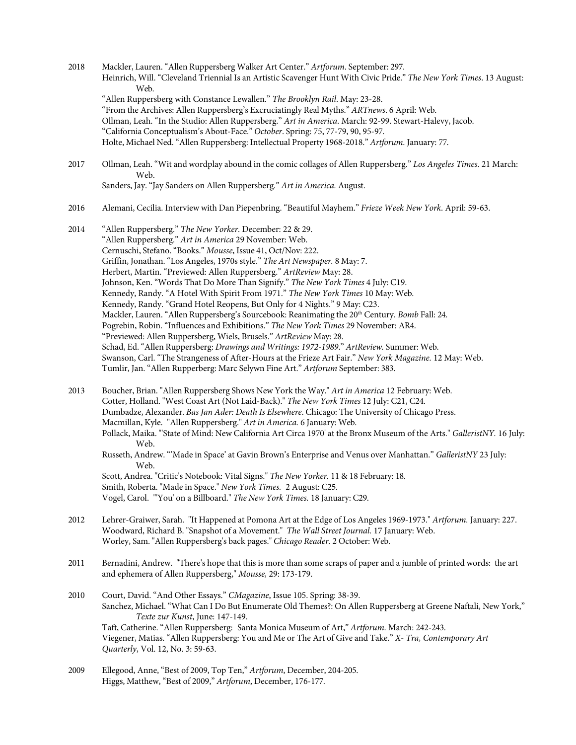- 2018 Mackler, Lauren."Allen Ruppersberg Walker Art Center." *Artforum*. September: 297. Heinrich, Will. "Cleveland Triennial Is an Artistic Scavenger Hunt With Civic Pride." *The New York Times*. 13 August: Web. "Allen Ruppersberg with Constance Lewallen." *The Brooklyn Rail*. May: 23-28. "From the Archives: Allen Ruppersberg's Excruciatingly Real Myths." *ARTnews*. 6 April: Web. Ollman, Leah. "In the Studio: Allen Ruppersberg." *Art in America*. March: 92-99. Stewart-Halevy, Jacob. "California Conceptualism's About-Face." *October*. Spring: 75, 77-79, 90, 95-97. Holte, Michael Ned."Allen Ruppersberg: Intellectual Property 1968-2018." *Artforum*. January: 77.
- 2017 Ollman, Leah. "Wit and wordplay abound in the comic collages of Allen Ruppersberg." *Los Angeles Times*. 21 March: Web. Sanders, Jay. "Jay Sanders on Allen Ruppersberg." *Art in America.* August.
- 2016 Alemani, Cecilia. Interview with Dan Piepenbring. "Beautiful Mayhem." *Frieze Week New York*. April: 59-63.
- 2014 "Allen Ruppersberg." *The New Yorker*. December: 22 & 29. "Allen Ruppersberg." *Art in America* 29 November: Web. Cernuschi, Stefano."Books." *Mousse*, Issue 41, Oct/Nov: 222. Griffin, Jonathan. "Los Angeles, 1970s style." *The Art Newspaper.* 8 May: 7. Herbert, Martin. "Previewed: Allen Ruppersberg." *ArtReview* May: 28. Johnson, Ken. "Words That Do More Than Signify." *The New York Times* 4 July: C19. Kennedy, Randy. "A Hotel With Spirit From 1971." *The New York Times* 10 May: Web. Kennedy, Randy. "Grand Hotel Reopens, But Only for 4 Nights." 9 May: C23. Mackler, Lauren. "Allen Ruppersberg's Sourcebook: Reanimating the 20<sup>th</sup> Century. *Bomb* Fall: 24. Pogrebin, Robin. "Influences and Exhibitions." *The New York Times* 29 November: AR4. "Previewed: Allen Ruppersberg, Wiels, Brusels." *ArtReview* May: 28. Schad, Ed."Allen Ruppersberg: *Drawings and Writings: 1972-1989*." *ArtReview.* Summer: Web. Swanson, Carl. "The Strangeness of After-Hours at the Frieze Art Fair." *New York Magazine.* 12 May: Web. Tumlir, Jan. "Allen Rupperberg: Marc Selywn Fine Art." *Artforum* September: 383.
- 2013 Boucher, Brian. "Allen Ruppersberg Shows New York the Way." *Art in America* 12 February: Web. Cotter, Holland. "West Coast Art (Not Laid-Back)." *The New York Times* 12 July: C21, C24. Dumbadze, Alexander. *Bas Jan Ader: Death Is Elsewhere*. Chicago: The University of Chicago Press. Macmillan, Kyle. "Allen Ruppersberg." *Art in America.* 6 January: Web. Pollack, Maika. "'State of Mind: New California Art Circa 1970' at the Bronx Museum of the Arts." *GalleristNY.* 16 July: Web. Russeth, Andrew. "'Made in Space' at Gavin Brown's Enterprise and Venus over Manhattan." *GalleristNY* 23 July: Web. Scott, Andrea. "Critic's Notebook: Vital Signs." *The New Yorker.* 11 & 18 February: 18. Smith, Roberta. "Made in Space." *New York Times.* 2 August: C25. Vogel, Carol. "'You' on a Billboard." *The New York Times.* 18 January: C29. 2012 Lehrer-Graiwer, Sarah. "It Happened at Pomona Art at the Edge of Los Angeles 1969-1973." *Artforum.* January: 227. Woodward, Richard B. "Snapshot of a Movement." *The Wall Street Journal.* 17 January: Web. Worley, Sam. "Allen Ruppersberg's back pages." *Chicago Reader.* 2 October: Web. 2011 Bernadini, Andrew. "There's hope that this is more than some scraps of paper and a jumble of printed words: the art and ephemera of Allen Ruppersberg," *Mousse,* 29: 173-179. 2010 Court, David. "And Other Essays." *CMagazine*, Issue 105. Spring: 38-39. Sanchez, Michael. "What Can I Do But Enumerate Old Themes?: On Allen Ruppersberg at Greene Naftali, New York," *Texte zur Kunst*, June: 147-149.

Taft, Catherine. "Allen Ruppersberg: Santa Monica Museum of Art," *Artforum*. March: 242-243. Viegener, Matias. "Allen Ruppersberg: You and Me or The Art of Give and Take." *X- Tra, Contemporary Art Quarterly*, Vol. 12, No. 3: 59-63.

2009 Ellegood, Anne, "Best of 2009, Top Ten," *Artforum*, December, 204-205. Higgs, Matthew, "Best of 2009," *Artforum*, December, 176-177.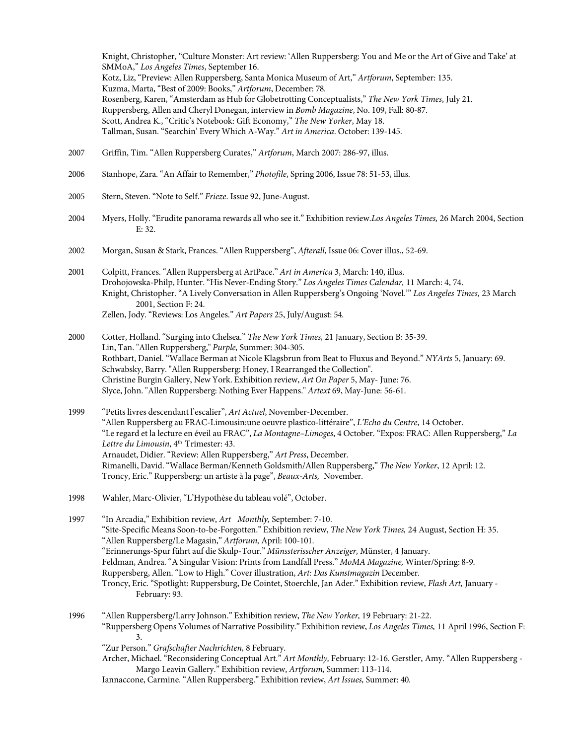Knight, Christopher, "Culture Monster: Art review: 'Allen Ruppersberg: You and Me or the Art of Give and Take' at SMMoA," *Los Angeles Times*, September 16. Kotz, Liz, "Preview: Allen Ruppersberg, Santa Monica Museum of Art," *Artforum*, September: 135. Kuzma, Marta, "Best of 2009: Books," *Artforum*, December: 78. Rosenberg, Karen, "Amsterdam as Hub for Globetrotting Conceptualists," *The New York Times*, July 21. Ruppersberg, Allen and Cheryl Donegan, interview in *Bomb Magazine*, No. 109, Fall: 80-87. Scott, Andrea K., "Critic's Notebook: Gift Economy," *The New Yorker*, May 18. Tallman, Susan. "Searchin' Every Which A-Way." *Art in America*. October: 139-145.

- 2007 Griffin, Tim. "Allen Ruppersberg Curates," *Artforum*, March 2007: 286-97, illus.
- 2006 Stanhope, Zara. "An Affair to Remember," *Photofile*, Spring 2006, Issue 78: 51-53, illus.
- 2005 Stern, Steven. "Note to Self." *Frieze*. Issue 92, June-August.
- 2004 Myers, Holly. "Erudite panorama rewards all who see it." Exhibition review.*Los Angeles Times,* 26 March 2004, Section E: 32.
- 2002 Morgan, Susan & Stark, Frances. "Allen Ruppersberg", *Afterall*, Issue 06: Cover illus., 52-69.
- 2001 Colpitt, Frances. "Allen Ruppersberg at ArtPace." *Art in America* 3, March: 140, illus. Drohojowska-Philp, Hunter."His Never-Ending Story." *Los Angeles Times Calendar,* 11 March: 4, 74. Knight, Christopher. "A Lively Conversation in Allen Ruppersberg's Ongoing 'Novel.'" *Los Angeles Times,* 23 March 2001, Section F: 24. Zellen, Jody. "Reviews: Los Angeles." *Art Papers* 25, July/August: 54.
- 2000 Cotter, Holland. "Surging into Chelsea." *The New York Times,* 21 January, Section B: 35-39. Lin, Tan. "Allen Ruppersberg," *Purple,* Summer: 304-305. Rothbart, Daniel. "Wallace Berman at Nicole Klagsbrun from Beat to Fluxus and Beyond." *NYArts* 5, January: 69. Schwabsky, Barry. "Allen Ruppersberg: Honey, I Rearranged the Collection". Christine Burgin Gallery, New York. Exhibition review, *Art On Paper* 5, May- June: 76. Slyce, John. "Allen Ruppersberg: Nothing Ever Happens." *Artext* 69, May-June: 56-61.
- 1999 "Petits livres descendant l'escalier", *Art Actuel*, November-December. "Allen Ruppersberg au FRAC-Limousin:une oeuvre plastico-littéraire", *L'Echo du Centre*, 14 October. "Le regard et la lecture en éveil au FRAC", *La Montagne–Limoges*, 4 October. "Expos: FRAC: Allen Ruppersberg," *La*  Lettre du Limousin, 4<sup>th</sup> Trimester: 43. Arnaudet, Didier. "Review: Allen Ruppersberg," *Art Press*, December. Rimanelli, David."Wallace Berman/Kenneth Goldsmith/Allen Ruppersberg," *The New Yorker*, 12 April: 12. Troncy, Eric." Ruppersberg: un artiste à la page", *Beaux-Arts,* November.
- 1998 Wahler, Marc-Olivier,"L'Hypothèse du tableau volé", October.
- 1997 "In Arcadia," Exhibition review, *Art Monthly,* September: 7-10. "Site-Specific Means Soon-to-be-Forgotten." Exhibition review, *The New York Times,* 24 August, Section H: 35. "Allen Ruppersberg/Le Magasin," *Artforum,* April: 100-101. "Erinnerungs-Spur führt auf die Skulp-Tour." *Münssterisscher Anzeiger,* Münster, 4 January. Feldman, Andrea. "A Singular Vision: Prints from Landfall Press." *MoMA Magazine,* Winter/Spring: 8-9. Ruppersberg, Allen. "Low to High." Cover illustration, *Art: Das Kunstmagazin* December. Troncy, Eric. "Spotlight: Ruppersburg, De Cointet, Stoerchle, Jan Ader." Exhibition review, *Flash Art,* January - February: 93.
- 1996 "Allen Ruppersberg/Larry Johnson." Exhibition review, *The New Yorker,* 19 February: 21-22. "Ruppersberg Opens Volumes of Narrative Possibility." Exhibition review, *Los Angeles Times,* 11 April 1996, Section F: 3. "Zur Person." *Grafschafter Nachrichten,* 8 February.
	- Archer, Michael."Reconsidering Conceptual Art." *Art Monthly,* February: 12-16. Gerstler, Amy. "Allen Ruppersberg Margo Leavin Gallery." Exhibition review, *Artforum,* Summer: 113-114.
	- Iannaccone, Carmine."Allen Ruppersberg." Exhibition review, *Art Issues,* Summer: 40.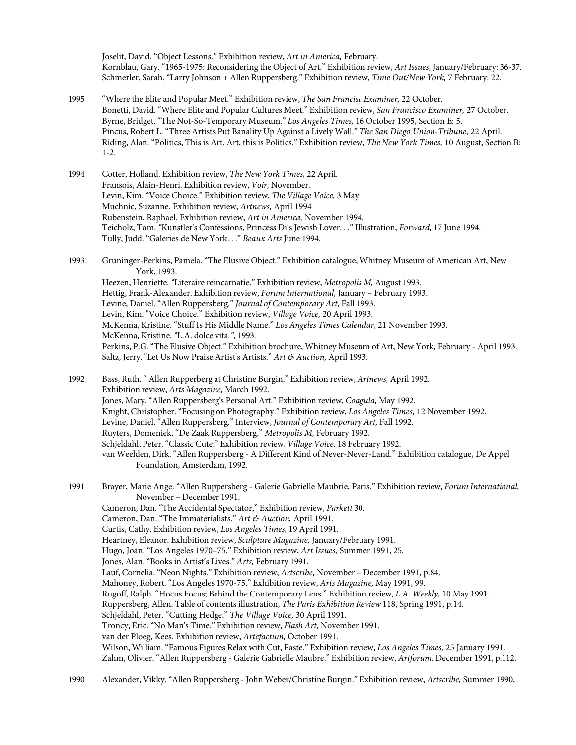Joselit, David. "Object Lessons." Exhibition review, *Art in America,* February. Kornblau, Gary. "1965-1975: Reconsidering the Object of Art." Exhibition review, *Art Issues,* January/February: 36-37. Schmerler, Sarah. "Larry Johnson + Allen Ruppersberg." Exhibition review, *Time Out/New York,* 7 February: 22.

- 1995 "Where the Elite and Popular Meet." Exhibition review, *The San Francisc Examiner,* 22 October. Bonetti, David. "Where Elite and Popular Cultures Meet." Exhibition review, *San Francisco Examiner,* 27 October. Byrne, Bridget. "The Not-So-Temporary Museum." *Los Angeles Times,* 16 October 1995, Section E: 5. Pincus, Robert L. "Three Artists Put Banality Up Against a Lively Wall." *The San Diego Union-Tribune,* 22 April. Riding, Alan. "Politics, This is Art. Art, this is Politics." Exhibition review, *The New York Times,* 10 August, Section B: 1-2.
- 1994 Cotter, Holland. Exhibition review, *The New York Times,* 22 April. Fransois, Alain-Henri. Exhibition review, *Voir,* November. Levin, Kim. "Voice Choice." Exhibition review, *The Village Voice,* 3 May. Muchnic, Suzanne. Exhibition review, *Artnews,* April 1994 Rubenstein, Raphael. Exhibition review, *Art in America,* November 1994. Teicholz, Tom. *"*Kunstler's Confessions, Princess Di's Jewish Lover. . ." Illustration, *Forward,* 17 June 1994. Tully, Judd. "Galeries de New York. . ." *Beaux Arts* June 1994.
- 1993 Gruninger-Perkins, Pamela."The Elusive Object." Exhibition catalogue, Whitney Museum of American Art, New York, 1993. Heezen, Henriette.*"*Literaire reincarnatie." Exhibition review, *Metropolis M,* August 1993. Hettig, Frank-Alexander. Exhibition review, *Forum International,* January – February 1993. Levine, Daniel. "Allen Ruppersberg." *Journal of Contemporary Art,* Fall 1993. Levin, Kim. "Voice Choice." Exhibition review, *Village Voice,* 20 April 1993. McKenna, Kristine. "Stuff Is His Middle Name." *Los Angeles Times Calendar,* 21 November 1993. McKenna, Kristine. *"*L.A. dolce vita*.",* 1993. Perkins, P.G. "The Elusive Object." Exhibition brochure, Whitney Museum of Art, New York, February - April 1993. Saltz, Jerry. "Let Us Now Praise Artist's Artists." *Art & Auction,* April 1993.

1992 Bass, Ruth. " Allen Rupperberg at Christine Burgin." Exhibition review, *Artnews,* April 1992. Exhibition review, *Arts Magazine,* March 1992. Jones, Mary. "Allen Ruppersberg's Personal Art." Exhibition review, *Coagula,* May 1992. Knight, Christopher."Focusing on Photography." Exhibition review, *Los Angeles Times,* 12 November 1992. Levine, Daniel. "Allen Ruppersberg." Interview, *Journal of Contemporary Art,* Fall 1992. Ruyters, Domeniek. "De Zaak Ruppersberg." *Metropolis M,* February 1992. Schjeldahl, Peter. "Classic Cute." Exhibition review, *Village Voice,* 18 February 1992. van Weelden, Dirk. "Allen Ruppersberg - A Different Kind of Never-Never-Land." Exhibition catalogue, De Appel Foundation, Amsterdam, 1992.

- 1991 Brayer, Marie Ange. "Allen Ruppersberg Galerie Gabrielle Maubrie, Paris." Exhibition review, *Forum International,* November – December 1991.
	- Cameron, Dan."The Accidental Spectator," Exhibition review, *Parkett* 30. Cameron, Dan. "The Immaterialists." *Art & Auction,* April 1991.
		- Curtis, Cathy. Exhibition review, *Los Angeles Times,* 19 April 1991.
		- Heartney, Eleanor. Exhibition review, *Sculpture Magazine,* January/February 1991.
		- Hugo, Joan. "Los Angeles 1970–75." Exhibition review, *Art Issues,* Summer 1991, 25.
		- Jones, Alan. "Books in Artist's Lives." *Arts,* February 1991.
		- Lauf, Cornelia. "Neon Nights." Exhibition review, *Artscribe,* November December 1991, p.84.

Mahoney, Robert. "Los Angeles 1970-75." Exhibition review, *Arts Magazine,* May 1991, 99.

Rugoff, Ralph. "Hocus Focus; Behind the Contemporary Lens." Exhibition review, *L.A. Weekly,* 10 May 1991.

Ruppersberg, Allen. Table of contents illustration, *The Paris Exhibition Review* 118, Spring 1991, p.14.

- Schjeldahl, Peter. "Cutting Hedge." *The Village Voice,* 30 April 1991.
- Troncy, Eric. "No Man's Time." Exhibition review, *Flash Art,* November 1991.
- van der Ploeg, Kees. Exhibition review, *Artefactum,* October 1991.

Wilson, William. "Famous Figures Relax with Cut, Paste." Exhibition review, *Los Angeles Times,* 25 January 1991. Zahm, Olivier. "Allen Ruppersberg - Galerie Gabrielle Maubre." Exhibition review, *Artforum,* December 1991, p.112.

- 
- 1990 Alexander, Vikky. "Allen Ruppersberg John Weber/Christine Burgin." Exhibition review, *Artscribe,* Summer 1990,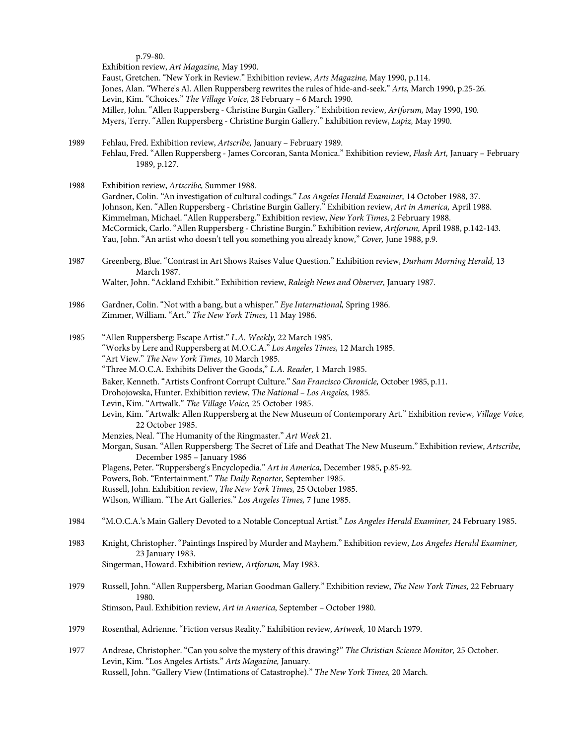p.79-80.

Exhibition review, *Art Magazine,* May 1990. Faust, Gretchen. "New York in Review." Exhibition review, *Arts Magazine,* May 1990, p.114. Jones, Alan. *"*Where's Al. Allen Ruppersberg rewrites the rules of hide-and-seek." *Arts,* March 1990, p.25-26. Levin, Kim. "Choices." *The Village Voice,* 28 February – 6 March 1990. Miller, John."Allen Ruppersberg - Christine Burgin Gallery." Exhibition review, *Artforum,* May 1990, 190. Myers, Terry. "Allen Ruppersberg - Christine Burgin Gallery." Exhibition review, *Lapiz,* May 1990.

- 1989 Fehlau, Fred. Exhibition review, *Artscribe,* January February 1989. Fehlau, Fred."Allen Ruppersberg - James Corcoran, Santa Monica." Exhibition review, *Flash Art,* January – February 1989, p.127.
- 1988 Exhibition review, *Artscribe,* Summer 1988. Gardner, Colin. *"*An investigation of cultural codings." *Los Angeles Herald Examiner,* 14 October 1988, 37. Johnson, Ken. "Allen Ruppersberg - Christine Burgin Gallery." Exhibition review, *Art in America,* April 1988. Kimmelman, Michael. "Allen Ruppersberg." Exhibition review, *New York Times*, 2 February 1988. McCormick, Carlo."Allen Ruppersberg - Christine Burgin." Exhibition review, *Artforum,* April 1988, p.142-143. Yau, John. "An artist who doesn't tell you something you already know," *Cover,* June 1988, p.9.
- 1987 Greenberg, Blue. "Contrast in Art Shows Raises Value Question." Exhibition review, *Durham Morning Herald,* 13 March 1987. Walter, John. "Ackland Exhibit." Exhibition review, *Raleigh News and Observer,* January 1987.
- 1986 Gardner, Colin. "Not with a bang, but a whisper." *Eye International,* Spring 1986. Zimmer, William. "Art." *The New York Times,* 11 May 1986.
- 1985 "Allen Ruppersberg: Escape Artist." *L.A. Weekly,* 22 March 1985. "Works by Lere and Ruppersberg at M.O.C.A." *Los Angeles Times,* 12 March 1985. "Art View." *The New York Times,* 10 March 1985. "Three M.O.C.A. Exhibits Deliver the Goods," *L.A. Reader,* 1 March 1985.
	-
	- Baker, Kenneth. "Artists Confront Corrupt Culture." *San Francisco Chronicle,* October 1985, p.11.
	- Drohojowska, Hunter. Exhibition review, *The National – Los Angeles,* 1985*.*
	- Levin, Kim. "Artwalk." *The Village Voice,* 25 October 1985.
	- Levin, Kim. "Artwalk: Allen Ruppersberg at the New Museum of Contemporary Art." Exhibition review, *Village Voice,*  22 October 1985.
	- Menzies, Neal. "The Humanity of the Ringmaster." *Art Week* 21.
	- Morgan, Susan. "Allen Ruppersberg: The Secret of Life and Deathat The New Museum." Exhibition review, *Artscribe,* December 1985 – January 1986
	- Plagens, Peter."Ruppersberg's Encyclopedia." *Art in America,* December 1985, p.85-92.
	- Powers, Bob. "Entertainment." *The Daily Reporter,* September 1985.
	- Russell, John. Exhibition review, *The New York Times,* 25 October 1985.
	- Wilson, William. "The Art Galleries." *Los Angeles Times,* 7 June 1985.
- 1984 "M.O.C.A.'s Main Gallery Devoted to a Notable Conceptual Artist." *Los Angeles Herald Examiner,* 24 February 1985.
- 1983 Knight, Christopher."Paintings Inspired by Murder and Mayhem." Exhibition review, *Los Angeles Herald Examiner,*  23 January 1983. Singerman, Howard. Exhibition review, *Artforum,* May 1983.
- 1979 Russell, John. "Allen Ruppersberg, Marian Goodman Gallery." Exhibition review, *The New York Times,* 22 February 1980. Stimson, Paul. Exhibition review, *Art in America,* September – October 1980.
- 1979 Rosenthal, Adrienne. "Fiction versus Reality." Exhibition review, *Artweek,* 10 March 1979.
- 1977 Andreae, Christopher. "Can you solve the mystery of this drawing?" *The Christian Science Monitor,* 25 October. Levin, Kim. "Los Angeles Artists." *Arts Magazine,* January. Russell, John. "Gallery View (Intimations of Catastrophe)." *The New York Times,* 20 March.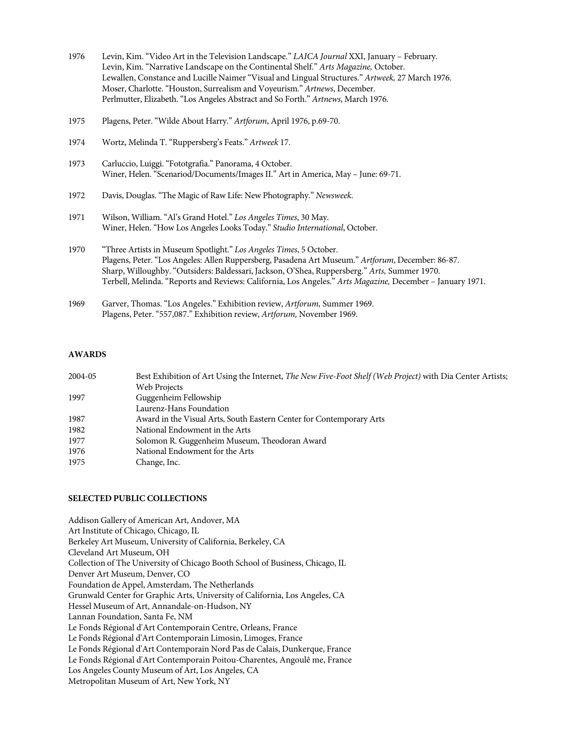- 1976 Levin, Kim. "Video Art in the Television Landscape." *LAICA Journal* XXI, January February. Levin, Kim. "Narrative Landscape on the Continental Shelf." *Arts Magazine,* October. Lewallen, Constance and Lucille Naimer "Visual and Lingual Structures." *Artweek,* 27 March 1976. Moser, Charlotte. "Houston, Surrealism and Voyeurism." *Artnews*, December. Perlmutter, Elizabeth. "Los Angeles Abstract and So Forth." *Artnews*, March 1976.
- 1975 Plagens, Peter. "Wilde About Harry." *Artforum*, April 1976, p.69-70.
- 1974 Wortz, Melinda T. "Ruppersberg's Feats." *Artweek* 17.
- 1973 Carluccio, Luiggi. "Fototgrafia." Panorama, 4 October. Winer, Helen. "Scenariod/Documents/Images II." Art in America, May – June: 69-71.
- 1972 Davis, Douglas. "The Magic of Raw Life: New Photography." *Newsweek*.
- 1971 Wilson, William. "Al's Grand Hotel." *Los Angeles Times*, 30 May. Winer, Helen. "How Los Angeles Looks Today." *Studio International*, October.
- 1970 "Three Artists in Museum Spotlight." *Los Angeles Times*, 5 October. Plagens, Peter. "Los Angeles: Allen Ruppersberg, Pasadena Art Museum." *Artforum*, December: 86-87. Sharp, Willoughby."Outsiders: Baldessari, Jackson, O'Shea, Ruppersberg." *Arts,* Summer 1970. Terbell, Melinda. "Reports and Reviews: California, Los Angeles." *Arts Magazine,* December – January 1971.
- 1969 Garver, Thomas. "Los Angeles." Exhibition review, *Artforum,* Summer 1969. Plagens, Peter."557,087." Exhibition review, *Artforum,* November 1969.

#### **AWARDS**

| 2004-05 | Best Exhibition of Art Using the Internet, The New Five-Foot Shelf (Web Project) with Dia Center Artists; |
|---------|-----------------------------------------------------------------------------------------------------------|
|         | Web Projects                                                                                              |
| 1997    | Guggenheim Fellowship                                                                                     |
|         | Laurenz-Hans Foundation                                                                                   |
| 1987    | Award in the Visual Arts, South Eastern Center for Contemporary Arts                                      |
| 1982    | National Endowment in the Arts                                                                            |
| 1977    | Solomon R. Guggenheim Museum, Theodoran Award                                                             |
| 1976    | National Endowment for the Arts                                                                           |
| 1975    | Change, Inc.                                                                                              |
|         |                                                                                                           |

### **SELECTED PUBLIC COLLECTIONS**

Addison Gallery of American Art, Andover, MA Art Institute of Chicago, Chicago, IL Berkeley Art Museum, University of California, Berkeley, CA Cleveland Art Museum, OH Collection of The University of Chicago Booth School of Business, Chicago, IL Denver Art Museum, Denver, CO Foundation de Appel, Amsterdam, The Netherlands Grunwald Center for Graphic Arts, University of California, Los Angeles, CA Hessel Museum of Art, Annandale-on-Hudson, NY Lannan Foundation, Santa Fe, NM Le Fonds Régional d'Art Contemporain Centre, Orleans, France Le Fonds Régional d'Art Contemporain Limosin, Limoges, France Le Fonds Régional d'Art Contemporain Nord Pas de Calais, Dunkerque, France Le Fonds Régional d'Art Contemporain Poitou-Charentes, Angoulê me, France Los Angeles County Museum of Art, Los Angeles, CA Metropolitan Museum of Art, New York, NY